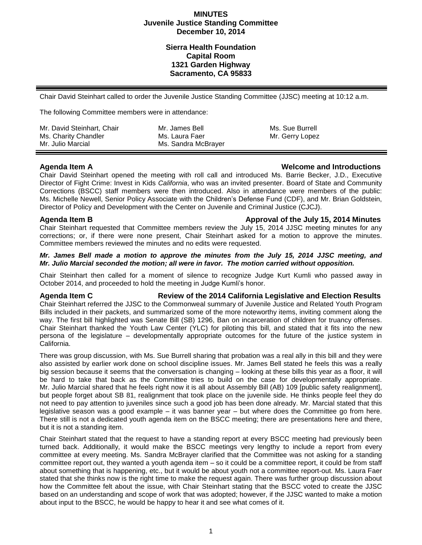## **MINUTES Juvenile Justice Standing Committee December 10, 2014**

# **Sierra Health Foundation Capital Room 1321 Garden Highway Sacramento, CA 95833**

Chair David Steinhart called to order the Juvenile Justice Standing Committee (JJSC) meeting at 10:12 a.m.

The following Committee members were in attendance:

| Mr. David Steinhart, Chair | Mr. James Bell      | Ms. Sue Burrell |
|----------------------------|---------------------|-----------------|
| Ms. Charity Chandler       | Ms. Laura Faer      | Mr. Gerry Lopez |
| Mr. Julio Marcial          | Ms. Sandra McBrayer |                 |

## **Agenda Item A Welcome and Introductions**

Chair David Steinhart opened the meeting with roll call and introduced Ms. Barrie Becker, J.D., Executive Director of Fight Crime: Invest in Kids *California*, who was an invited presenter. Board of State and Community Corrections (BSCC) staff members were then introduced. Also in attendance were members of the public: Ms. Michelle Newell, Senior Policy Associate with the Children's Defense Fund (CDF), and Mr. Brian Goldstein, Director of Policy and Development with the Center on Juvenile and Criminal Justice (CJCJ).

## **Agenda Item B Approval of the July 15, 2014 Minutes**

Chair Steinhart requested that Committee members review the July 15, 2014 JJSC meeting minutes for any corrections; or, if there were none present, Chair Steinhart asked for a motion to approve the minutes. Committee members reviewed the minutes and no edits were requested.

## *Mr. James Bell made a motion to approve the minutes from the July 15, 2014 JJSC meeting, and Mr. Julio Marcial seconded the motion; all were in favor. The motion carried without opposition.*

Chair Steinhart then called for a moment of silence to recognize Judge Kurt Kumli who passed away in October 2014, and proceeded to hold the meeting in Judge Kumli's honor.

**Agenda Item C Review of the 2014 California Legislative and Election Results** Chair Steinhart referred the JJSC to the Commonweal summary of Juvenile Justice and Related Youth Program Bills included in their packets, and summarized some of the more noteworthy items, inviting comment along the way. The first bill highlighted was Senate Bill (SB) 1296, Ban on incarceration of children for truancy offenses. Chair Steinhart thanked the Youth Law Center (YLC) for piloting this bill, and stated that it fits into the new persona of the legislature – developmentally appropriate outcomes for the future of the justice system in California.

There was group discussion, with Ms. Sue Burrell sharing that probation was a real ally in this bill and they were also assisted by earlier work done on school discipline issues. Mr. James Bell stated he feels this was a really big session because it seems that the conversation is changing – looking at these bills this year as a floor, it will be hard to take that back as the Committee tries to build on the case for developmentally appropriate. Mr. Julio Marcial shared that he feels right now it is all about Assembly Bill (AB) 109 [public safety realignment], but people forget about SB 81, realignment that took place on the juvenile side. He thinks people feel they do not need to pay attention to juveniles since such a good job has been done already. Mr. Marcial stated that this legislative season was a good example – it was banner year – but where does the Committee go from here. There still is not a dedicated youth agenda item on the BSCC meeting; there are presentations here and there, but it is not a standing item.

Chair Steinhart stated that the request to have a standing report at every BSCC meeting had previously been turned back. Additionally, it would make the BSCC meetings very lengthy to include a report from every committee at every meeting. Ms. Sandra McBrayer clarified that the Committee was not asking for a standing committee report out, they wanted a youth agenda item – so it could be a committee report, it could be from staff about something that is happening, etc., but it would be about youth not a committee report-out. Ms. Laura Faer stated that she thinks now is the right time to make the request again. There was further group discussion about how the Committee felt about the issue, with Chair Steinhart stating that the BSCC voted to create the JJSC based on an understanding and scope of work that was adopted; however, if the JJSC wanted to make a motion about input to the BSCC, he would be happy to hear it and see what comes of it.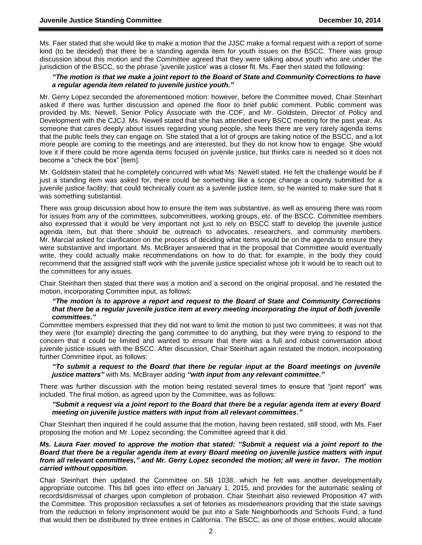Ms. Faer stated that she would like to make a motion that the JJSC make a formal request with a report of some kind (to be decided) that there be a standing agenda item for youth issues on the BSCC. There was group discussion about this motion and the Committee agreed that they were talking about youth who are under the jurisdiction of the BSCC, so the phrase 'juvenile justice' was a closer fit. Ms. Faer then stated the following:

### *"The motion is that we make a joint report to the Board of State and Community Corrections to have a regular agenda item related to juvenile justice youth."*

Mr. Gerry Lopez seconded the aforementioned motion: however, before the Committee moved, Chair Steinhart asked if there was further discussion and opened the floor to brief public comment. Public comment was provided by Ms. Newell, Senior Policy Associate with the CDF, and Mr. Goldstein, Director of Policy and Development with the CJCJ. Ms. Newell stated that she has attended every BSCC meeting for the past year. As someone that cares deeply about issues regarding young people, she feels there are very rarely agenda items that the public feels they can engage on. She stated that a lot of groups are taking notice of the BSCC, and a lot more people are coming to the meetings and are interested, but they do not know how to engage. She would love it if there could be more agenda items focused on juvenile justice, but thinks care is needed so it does not become a "check the box" [item].

Mr. Goldstein stated that he completely concurred with what Ms. Newell stated. He felt the challenge would be if just a standing item was asked for, there could be something like a scope change a county submitted for a juvenile justice facility; that could technically count as a juvenile justice item, so he wanted to make sure that it was something substantial.

There was group discussion about how to ensure the item was substantive, as well as ensuring there was room for issues from any of the committees, subcommittees, working groups, etc. of the BSCC. Committee members also expressed that it would be very important not just to rely on BSCC staff to develop the juvenile justice agenda item, but that there should be outreach to advocates, researchers, and community members. Mr. Marcial asked for clarification on the process of deciding what items would be on the agenda to ensure they were substantive and important. Ms. McBrayer answered that in the proposal that Committee would eventually write, they could actually make recommendations on how to do that; for example, in the body they could recommend that the assigned staff work with the juvenile justice specialist whose job it would be to reach out to the committees for any issues.

Chair Steinhart then stated that there was a motion and a second on the original proposal, and he restated the motion, incorporating Committee input, as follows:

### *"The motion is to approve a report and request to the Board of State and Community Corrections that there be a regular juvenile justice item at every meeting incorporating the input of both juvenile committees."*

Committee members expressed that they did not want to limit the motion to just two committees; it was not that they were (for example) directing the gang committee to do anything, but they were trying to respond to the concern that it could be limited and wanted to ensure that there was a full and robust conversation about juvenile justice issues with the BSCC. After discussion, Chair Steinhart again restated the motion, incorporating further Committee input, as follows:

## *"To submit a request to the Board that there be regular input at the Board meetings on juvenile justice matters"* with Ms. McBrayer adding *"with input from any relevant committee."*

There was further discussion with the motion being restated several times to ensure that "joint report" was included. The final motion, as agreed upon by the Committee, was as follows:

### *"Submit a request via a joint report to the Board that there be a regular agenda item at every Board meeting on juvenile justice matters with input from all relevant committees."*

Chair Steinhart then inquired if he could assume that the motion, having been restated, still stood, with Ms. Faer proposing the motion and Mr. Lopez seconding; the Committee agreed that it did.

*Ms. Laura Faer moved to approve the motion that stated: "Submit a request via a joint report to the Board that there be a regular agenda item at every Board meeting on juvenile justice matters with input from all relevant committees," and Mr. Gerry Lopez seconded the motion; all were in favor. The motion carried without opposition.*

Chair Steinhart then updated the Committee on SB 1038, which he felt was another developmentally appropriate outcome. This bill goes into effect on January 1, 2015, and provides for the automatic sealing of records/dismissal of charges upon completion of probation. Chair Steinhart also reviewed Proposition 47 with the Committee. This proposition reclassifies a set of felonies as misdemeanors providing that the state savings from the reduction in felony imprisonment would be put into a Safe Neighborhoods and Schools Fund, a fund that would then be distributed by three entities in California. The BSCC, as one of those entities, would allocate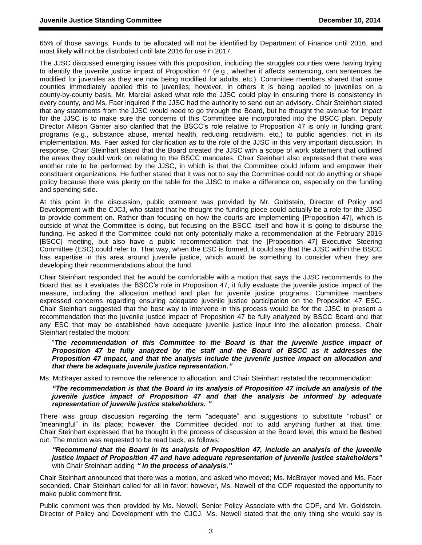65% of those savings. Funds to be allocated will not be identified by Department of Finance until 2016, and most likely will not be distributed until late 2016 for use in 2017.

The JJSC discussed emerging issues with this proposition, including the struggles counties were having trying to identify the juvenile justice impact of Proposition 47 (e.g., whether it affects sentencing, can sentences be modified for juveniles as they are now being modified for adults, etc.). Committee members shared that some counties immediately applied this to juveniles; however, in others it is being applied to juveniles on a county-by-county basis. Mr. Marcial asked what role the JJSC could play in ensuring there is consistency in every county, and Ms. Faer inquired if the JJSC had the authority to send out an advisory. Chair Steinhart stated that any statements from the JJSC would need to go through the Board, but he thought the avenue for impact for the JJSC is to make sure the concerns of this Committee are incorporated into the BSCC plan. Deputy Director Allison Ganter also clarified that the BSCC's role relative to Proposition 47 is only in funding grant programs (e.g., substance abuse, mental health, reducing recidivism, etc.) to public agencies, not in its implementation. Ms. Faer asked for clarification as to the role of the JJSC in this very important discussion. In response, Chair Steinhart stated that the Board created the JJSC with a scope of work statement that outlined the areas they could work on relating to the BSCC mandates. Chair Steinhart also expressed that there was another role to be performed by the JJSC, in which is that the Committee could inform and empower their constituent organizations. He further stated that it was not to say the Committee could not do anything or shape policy because there was plenty on the table for the JJSC to make a difference on, especially on the funding and spending side.

At this point in the discussion, public comment was provided by Mr. Goldstein, Director of Policy and Development with the CJCJ, who stated that he thought the funding piece could actually be a role for the JJSC to provide comment on. Rather than focusing on how the courts are implementing [Proposition 47], which is outside of what the Committee is doing, but focusing on the BSCC itself and how it is going to disburse the funding. He asked if the Committee could not only potentially make a recommendation at the February 2015 [BSCC] meeting, but also have a public recommendation that the [Proposition 47] Executive Steering Committee (ESC) could refer to. That way, when the ESC is formed, it could say that the JJSC within the BSCC has expertise in this area around juvenile justice, which would be something to consider when they are developing their recommendations about the fund.

Chair Steinhart responded that he would be comfortable with a motion that says the JJSC recommends to the Board that as it evaluates the BSCC's role in Proposition 47, it fully evaluate the juvenile justice impact of the measure, including the allocation method and plan for juvenile justice programs. Committee members expressed concerns regarding ensuring adequate juvenile justice participation on the Proposition 47 ESC. Chair Steinhart suggested that the best way to intervene in this process would be for the JJSC to present a recommendation that the juvenile justice impact of Proposition 47 be fully analyzed by BSCC Board and that any ESC that may be established have adequate juvenile justice input into the allocation process. Chair Steinhart restated the motion:

"*The recommendation of this Committee to the Board is that the juvenile justice impact of Proposition 47 be fully analyzed by the staff and the Board of BSCC as it addresses the Proposition 47 impact, and that the analysis include the juvenile justice impact on allocation and that there be adequate juvenile justice representation."*

Ms. McBrayer asked to remove the reference to allocation, and Chair Steinhart restated the recommendation:

*"The recommendation is that the Board in its analysis of Proposition 47 include an analysis of the juvenile justice impact of Proposition 47 and that the analysis be informed by adequate representation of juvenile justice stakeholders. "*

There was group discussion regarding the term "adequate" and suggestions to substitute "robust" or "meaningful" in its place; however, the Committee decided not to add anything further at that time. Chair Steinhart expressed that he thought in the process of discussion at the Board level, this would be fleshed out. The motion was requested to be read back, as follows:

*"Recommend that the Board in its analysis of Proposition 47, include an analysis of the juvenile justice impact of Proposition 47 and have adequate representation of juvenile justice stakeholders"* with Chair Steinhart adding *" in the process of analysis."*

Chair Steinhart announced that there was a motion, and asked who moved; Ms. McBrayer moved and Ms. Faer seconded. Chair Steinhart called for all in favor; however, Ms. Newell of the CDF requested the opportunity to make public comment first.

Public comment was then provided by Ms. Newell, Senior Policy Associate with the CDF, and Mr. Goldstein, Director of Policy and Development with the CJCJ. Ms. Newell stated that the only thing she would say is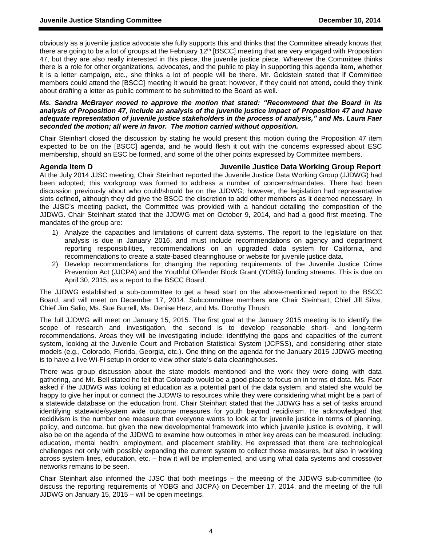obviously as a juvenile justice advocate she fully supports this and thinks that the Committee already knows that there are going to be a lot of groups at the February  $12<sup>th</sup>$  [BSCC] meeting that are very engaged with Proposition 47, but they are also really interested in this piece, the juvenile justice piece. Wherever the Committee thinks there is a role for other organizations, advocates, and the public to play in supporting this agenda item, whether it is a letter campaign, etc., she thinks a lot of people will be there. Mr. Goldstein stated that if Committee members could attend the [BSCC] meeting it would be great; however, if they could not attend, could they think about drafting a letter as public comment to be submitted to the Board as well.

*Ms. Sandra McBrayer moved to approve the motion that stated: "Recommend that the Board in its analysis of Proposition 47, include an analysis of the juvenile justice impact of Proposition 47 and have adequate representation of juvenile justice stakeholders in the process of analysis," and Ms. Laura Faer seconded the motion; all were in favor. The motion carried without opposition.*

Chair Steinhart closed the discussion by stating he would present this motion during the Proposition 47 item expected to be on the [BSCC] agenda, and he would flesh it out with the concerns expressed about ESC membership, should an ESC be formed, and some of the other points expressed by Committee members.

## **Agenda Item D Juvenile Justice Data Working Group Report**

At the July 2014 JJSC meeting, Chair Steinhart reported the Juvenile Justice Data Working Group (JJDWG) had been adopted; this workgroup was formed to address a number of concerns/mandates. There had been discussion previously about who could/should be on the JJDWG; however, the legislation had representative slots defined, although they did give the BSCC the discretion to add other members as it deemed necessary. In the JJSC's meeting packet, the Committee was provided with a handout detailing the composition of the JJDWG. Chair Steinhart stated that the JJDWG met on October 9, 2014, and had a good first meeting. The mandates of the group are:

- 1) Analyze the capacities and limitations of current data systems. The report to the legislature on that analysis is due in January 2016, and must include recommendations on agency and department reporting responsibilities, recommendations on an upgraded data system for California, and recommendations to create a state-based clearinghouse or website for juvenile justice data.
- 2) Develop recommendations for changing the reporting requirements of the Juvenile Justice Crime Prevention Act (JJCPA) and the Youthful Offender Block Grant (YOBG) funding streams. This is due on April 30, 2015, as a report to the BSCC Board.

The JJDWG established a sub-committee to get a head start on the above-mentioned report to the BSCC Board, and will meet on December 17, 2014. Subcommittee members are Chair Steinhart, Chief Jill Silva, Chief Jim Salio, Ms. Sue Burrell, Ms. Denise Herz, and Ms. Dorothy Thrush.

The full JJDWG will meet on January 15, 2015. The first goal at the January 2015 meeting is to identify the scope of research and investigation, the second is to develop reasonable short- and long-term recommendations. Areas they will be investigating include: identifying the gaps and capacities of the current system, looking at the Juvenile Court and Probation Statistical System (JCPSS), and considering other state models (e.g., Colorado, Florida, Georgia, etc.). One thing on the agenda for the January 2015 JJDWG meeting is to have a live Wi-Fi setup in order to view other state's data clearinghouses.

There was group discussion about the state models mentioned and the work they were doing with data gathering, and Mr. Bell stated he felt that Colorado would be a good place to focus on in terms of data. Ms. Faer asked if the JJDWG was looking at education as a potential part of the data system, and stated she would be happy to give her input or connect the JJDWG to resources while they were considering what might be a part of a statewide database on the education front. Chair Steinhart stated that the JJDWG has a set of tasks around identifying statewide/system wide outcome measures for youth beyond recidivism. He acknowledged that recidivism is the number one measure that everyone wants to look at for juvenile justice in terms of planning, policy, and outcome, but given the new developmental framework into which juvenile justice is evolving, it will also be on the agenda of the JJDWG to examine how outcomes in other key areas can be measured, including: education, mental health, employment, and placement stability. He expressed that there are technological challenges not only with possibly expanding the current system to collect those measures, but also in working across system lines, education, etc. – how it will be implemented, and using what data systems and crossover networks remains to be seen.

Chair Steinhart also informed the JJSC that both meetings – the meeting of the JJDWG sub-committee (to discuss the reporting requirements of YOBG and JJCPA) on December 17, 2014, and the meeting of the full JJDWG on January 15, 2015 – will be open meetings.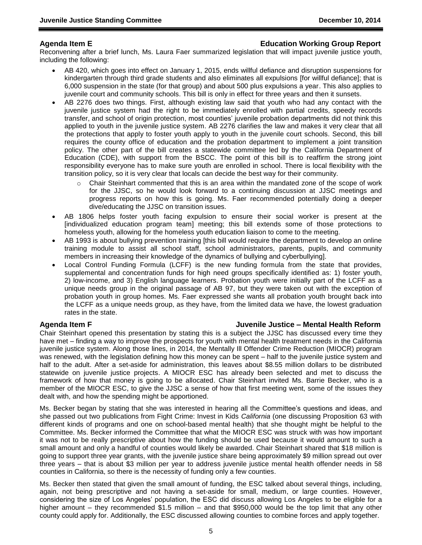## **Agenda Item E Education Working Group Report**

Reconvening after a brief lunch, Ms. Laura Faer summarized legislation that will impact juvenile justice youth, including the following:

- AB 420, which goes into effect on January 1, 2015, ends willful defiance and disruption suspensions for kindergarten through third grade students and also eliminates all expulsions [for willful defiance]; that is 6,000 suspension in the state (for that group) and about 500 plus expulsions a year. This also applies to juvenile court and community schools. This bill is only in effect for three years and then it sunsets.
- AB 2276 does two things. First, although existing law said that youth who had any contact with the juvenile justice system had the right to be immediately enrolled with partial credits, speedy records transfer, and school of origin protection, most counties' juvenile probation departments did not think this applied to youth in the juvenile justice system. AB 2276 clarifies the law and makes it very clear that all the protections that apply to foster youth apply to youth in the juvenile court schools. Second, this bill requires the county office of education and the probation department to implement a joint transition policy. The other part of the bill creates a statewide committee led by the California Department of Education (CDE), with support from the BSCC. The point of this bill is to reaffirm the strong joint responsibility everyone has to make sure youth are enrolled in school. There is local flexibility with the transition policy, so it is very clear that locals can decide the best way for their community.
	- o Chair Steinhart commented that this is an area within the mandated zone of the scope of work for the JJSC, so he would look forward to a continuing discussion at JJSC meetings and progress reports on how this is going. Ms. Faer recommended potentially doing a deeper dive/educating the JJSC on transition issues.
- AB 1806 helps foster youth facing expulsion to ensure their social worker is present at the [individualized education program team] meeting; this bill extends some of those protections to homeless youth, allowing for the homeless youth education liaison to come to the meeting.
- AB 1993 is about bullying prevention training [this bill would require the department to develop an online training module to assist all school staff, school administrators, parents, pupils, and community members in increasing their knowledge of the dynamics of bullying and cyberbullying].
- Local Control Funding Formula (LCFF) is the new funding formula from the state that provides, supplemental and concentration funds for high need groups specifically identified as: 1) foster youth, 2) low-income, and 3) English language learners. Probation youth were initially part of the LCFF as a unique needs group in the original passage of AB 97, but they were taken out with the exception of probation youth in group homes. Ms. Faer expressed she wants all probation youth brought back into the LCFF as a unique needs group, as they have, from the limited data we have, the lowest graduation rates in the state.

## **Agenda Item F Juvenile Justice – Mental Health Reform**

Chair Steinhart opened this presentation by stating this is a subject the JJSC has discussed every time they have met – finding a way to improve the prospects for youth with mental health treatment needs in the California juvenile justice system. Along those lines, in 2014, the Mentally Ill Offender Crime Reduction (MIOCR) program was renewed, with the legislation defining how this money can be spent – half to the juvenile justice system and half to the adult. After a set-aside for administration, this leaves about \$8.55 million dollars to be distributed statewide on juvenile justice projects. A MIOCR ESC has already been selected and met to discuss the framework of how that money is going to be allocated. Chair Steinhart invited Ms. Barrie Becker, who is a member of the MIOCR ESC, to give the JJSC a sense of how that first meeting went, some of the issues they dealt with, and how the spending might be apportioned.

Ms. Becker began by stating that she was interested in hearing all the Committee's questions and ideas, and she passed out two publications from Fight Crime: Invest in Kids *California* (one discussing Proposition 63 with different kinds of programs and one on school-based mental health) that she thought might be helpful to the Committee. Ms. Becker informed the Committee that what the MIOCR ESC was struck with was how important it was not to be really prescriptive about how the funding should be used because it would amount to such a small amount and only a handful of counties would likely be awarded. Chair Steinhart shared that \$18 million is going to support three year grants, with the juvenile justice share being approximately \$9 million spread out over three years – that is about \$3 million per year to address juvenile justice mental health offender needs in 58 counties in California, so there is the necessity of funding only a few counties.

Ms. Becker then stated that given the small amount of funding, the ESC talked about several things, including, again, not being prescriptive and not having a set-aside for small, medium, or large counties. However, considering the size of Los Angeles' population, the ESC did discuss allowing Los Angeles to be eligible for a higher amount – they recommended \$1.5 million – and that \$950,000 would be the top limit that any other county could apply for. Additionally, the ESC discussed allowing counties to combine forces and apply together.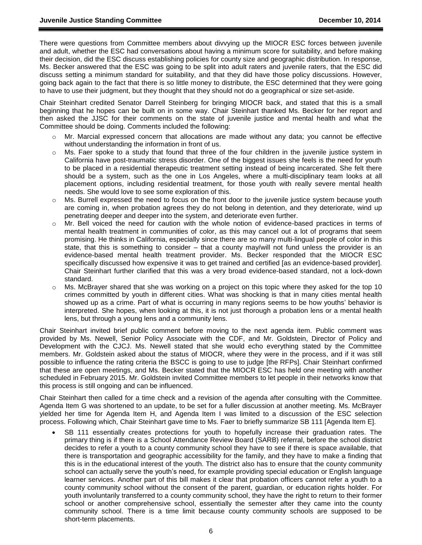There were questions from Committee members about divvying up the MIOCR ESC forces between juvenile and adult, whether the ESC had conversations about having a minimum score for suitability, and before making their decision, did the ESC discuss establishing policies for county size and geographic distribution. In response, Ms. Becker answered that the ESC was going to be split into adult raters and juvenile raters, that the ESC did discuss setting a minimum standard for suitability, and that they did have those policy discussions. However, going back again to the fact that there is so little money to distribute, the ESC determined that they were going to have to use their judgment, but they thought that they should not do a geographical or size set-aside.

Chair Steinhart credited Senator Darrell Steinberg for bringing MIOCR back, and stated that this is a small beginning that he hopes can be built on in some way. Chair Steinhart thanked Ms. Becker for her report and then asked the JJSC for their comments on the state of juvenile justice and mental health and what the Committee should be doing. Comments included the following:

- Mr. Marcial expressed concern that allocations are made without any data; you cannot be effective without understanding the information in front of us.
- o Ms. Faer spoke to a study that found that three of the four children in the juvenile justice system in California have post-traumatic stress disorder. One of the biggest issues she feels is the need for youth to be placed in a residential therapeutic treatment setting instead of being incarcerated. She felt there should be a system, such as the one in Los Angeles, where a multi-disciplinary team looks at all placement options, including residential treatment, for those youth with really severe mental health needs. She would love to see some exploration of this.
- $\circ$  Ms. Burrell expressed the need to focus on the front door to the juvenile justice system because youth are coming in, when probation agrees they do not belong in detention, and they deteriorate, wind up penetrating deeper and deeper into the system, and deteriorate even further.
- o Mr. Bell voiced the need for caution with the whole notion of evidence-based practices in terms of mental health treatment in communities of color, as this may cancel out a lot of programs that seem promising. He thinks in California, especially since there are so many multi-lingual people of color in this state, that this is something to consider – that a county may/will not fund unless the provider is an evidence-based mental health treatment provider. Ms. Becker responded that the MIOCR ESC specifically discussed how expensive it was to get trained and certified [as an evidence-based provider]. Chair Steinhart further clarified that this was a very broad evidence-based standard, not a lock-down standard.
- Ms. McBrayer shared that she was working on a project on this topic where they asked for the top 10 crimes committed by youth in different cities. What was shocking is that in many cities mental health showed up as a crime. Part of what is occurring in many regions seems to be how youths' behavior is interpreted. She hopes, when looking at this, it is not just thorough a probation lens or a mental health lens, but through a young lens and a community lens.

Chair Steinhart invited brief public comment before moving to the next agenda item. Public comment was provided by Ms. Newell, Senior Policy Associate with the CDF, and Mr. Goldstein, Director of Policy and Development with the CJCJ. Ms. Newell stated that she would echo everything stated by the Committee members. Mr. Goldstein asked about the status of MIOCR, where they were in the process, and if it was still possible to influence the rating criteria the BSCC is going to use to judge [the RFPs]. Chair Steinhart confirmed that these are open meetings, and Ms. Becker stated that the MIOCR ESC has held one meeting with another scheduled in February 2015. Mr. Goldstein invited Committee members to let people in their networks know that this process is still ongoing and can be influenced.

Chair Steinhart then called for a time check and a revision of the agenda after consulting with the Committee. Agenda Item G was shortened to an update, to be set for a fuller discussion at another meeting. Ms. McBrayer yielded her time for Agenda Item H, and Agenda Item I was limited to a discussion of the ESC selection process. Following which, Chair Steinhart gave time to Ms. Faer to briefly summarize SB 111 [Agenda Item E].

 SB 111 essentially creates protections for youth to hopefully increase their graduation rates. The primary thing is if there is a School Attendance Review Board (SARB) referral, before the school district decides to refer a youth to a county community school they have to see if there is space available, that there is transportation and geographic accessibility for the family, and they have to make a finding that this is in the educational interest of the youth. The district also has to ensure that the county community school can actually serve the youth's need, for example providing special education or English language learner services. Another part of this bill makes it clear that probation officers cannot refer a youth to a county community school without the consent of the parent, guardian, or education rights holder. For youth involuntarily transferred to a county community school, they have the right to return to their former school or another comprehensive school, essentially the semester after they came into the county community school. There is a time limit because county community schools are supposed to be short-term placements.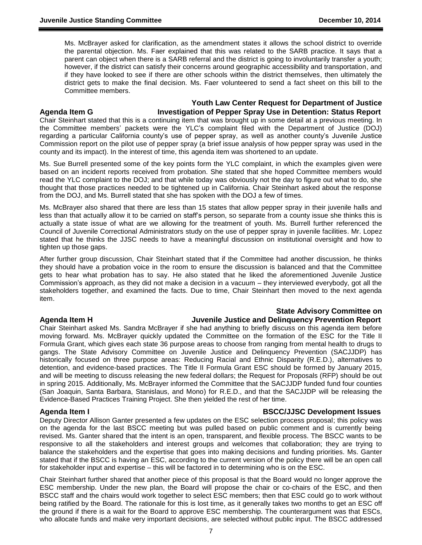Ms. McBrayer asked for clarification, as the amendment states it allows the school district to override the parental objection. Ms. Faer explained that this was related to the SARB practice. It says that a parent can object when there is a SARB referral and the district is going to involuntarily transfer a youth; however, if the district can satisfy their concerns around geographic accessibility and transportation, and if they have looked to see if there are other schools within the district themselves, then ultimately the district gets to make the final decision. Ms. Faer volunteered to send a fact sheet on this bill to the Committee members.

# **Youth Law Center Request for Department of Justice**

**Agenda Item G Investigation of Pepper Spray Use in Detention: Status Report**

Chair Steinhart stated that this is a continuing item that was brought up in some detail at a previous meeting. In the Committee members' packets were the YLC's complaint filed with the Department of Justice (DOJ) regarding a particular California county's use of pepper spray, as well as another county's Juvenile Justice Commission report on the pilot use of pepper spray (a brief issue analysis of how pepper spray was used in the county and its impact). In the interest of time, this agenda item was shortened to an update.

Ms. Sue Burrell presented some of the key points form the YLC complaint, in which the examples given were based on an incident reports received from probation. She stated that she hoped Committee members would read the YLC complaint to the DOJ; and that while today was obviously not the day to figure out what to do, she thought that those practices needed to be tightened up in California. Chair Steinhart asked about the response from the DOJ, and Ms. Burrell stated that she has spoken with the DOJ a few of times.

Ms. McBrayer also shared that there are less than 15 states that allow pepper spray in their juvenile halls and less than that actually allow it to be carried on staff's person, so separate from a county issue she thinks this is actually a state issue of what are we allowing for the treatment of youth. Ms. Burrell further referenced the Council of Juvenile Correctional Administrators study on the use of pepper spray in juvenile facilities. Mr. Lopez stated that he thinks the JJSC needs to have a meaningful discussion on institutional oversight and how to tighten up those gaps.

After further group discussion, Chair Steinhart stated that if the Committee had another discussion, he thinks they should have a probation voice in the room to ensure the discussion is balanced and that the Committee gets to hear what probation has to say. He also stated that he liked the aforementioned Juvenile Justice Commission's approach, as they did not make a decision in a vacuum – they interviewed everybody, got all the stakeholders together, and examined the facts. Due to time, Chair Steinhart then moved to the next agenda item.

## **State Advisory Committee on**

# **Agenda Item H Juvenile Justice and Delinquency Prevention Report**

Chair Steinhart asked Ms. Sandra McBrayer if she had anything to briefly discuss on this agenda item before moving forward. Ms. McBrayer quickly updated the Committee on the formation of the ESC for the Title II Formula Grant, which gives each state 36 purpose areas to choose from ranging from mental health to drugs to gangs. The State Advisory Committee on Juvenile Justice and Delinquency Prevention (SACJJDP) has historically focused on three purpose areas: Reducing Racial and Ethnic Disparity (R.E.D.), alternatives to detention, and evidence-based practices. The Title II Formula Grant ESC should be formed by January 2015, and will be meeting to discuss releasing the new federal dollars; the Request for Proposals (RFP) should be out in spring 2015. Additionally, Ms. McBrayer informed the Committee that the SACJJDP funded fund four counties (San Joaquin, Santa Barbara, Stanislaus, and Mono) for R.E.D., and that the SACJJDP will be releasing the Evidence-Based Practices Training Project. She then yielded the rest of her time.

## **Agenda Item I BSCC/JJSC Development Issues**

Deputy Director Allison Ganter presented a few updates on the ESC selection process proposal; this policy was on the agenda for the last BSCC meeting but was pulled based on public comment and is currently being revised. Ms. Ganter shared that the intent is an open, transparent, and flexible process. The BSCC wants to be responsive to all the stakeholders and interest groups and welcomes that collaboration; they are trying to balance the stakeholders and the expertise that goes into making decisions and funding priorities. Ms. Ganter stated that if the BSCC is having an ESC, according to the current version of the policy there will be an open call for stakeholder input and expertise – this will be factored in to determining who is on the ESC.

Chair Steinhart further shared that another piece of this proposal is that the Board would no longer approve the ESC membership. Under the new plan, the Board will propose the chair or co-chairs of the ESC, and then BSCC staff and the chairs would work together to select ESC members; then that ESC could go to work without being ratified by the Board. The rationale for this is lost time, as it generally takes two months to get an ESC off the ground if there is a wait for the Board to approve ESC membership. The counterargument was that ESCs, who allocate funds and make very important decisions, are selected without public input. The BSCC addressed